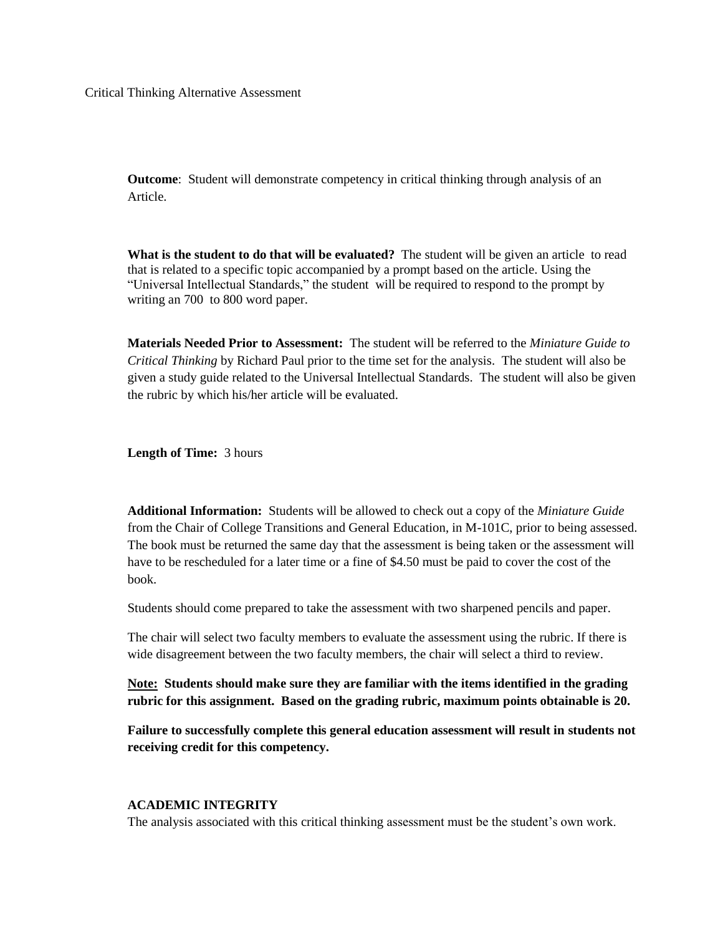**Outcome**: Student will demonstrate competency in critical thinking through analysis of an Article.

**What is the student to do that will be evaluated?** The student will be given an article to read that is related to a specific topic accompanied by a prompt based on the article. Using the "Universal Intellectual Standards," the student will be required to respond to the prompt by writing an 700 to 800 word paper.

**Materials Needed Prior to Assessment:** The student will be referred to the *Miniature Guide to Critical Thinking* by Richard Paul prior to the time set for the analysis. The student will also be given a study guide related to the Universal Intellectual Standards. The student will also be given the rubric by which his/her article will be evaluated.

**Length of Time:** 3 hours

**Additional Information:** Students will be allowed to check out a copy of the *Miniature Guide* from the Chair of College Transitions and General Education, in M-101C, prior to being assessed. The book must be returned the same day that the assessment is being taken or the assessment will have to be rescheduled for a later time or a fine of \$4.50 must be paid to cover the cost of the book.

Students should come prepared to take the assessment with two sharpened pencils and paper.

The chair will select two faculty members to evaluate the assessment using the rubric. If there is wide disagreement between the two faculty members, the chair will select a third to review.

**Note: Students should make sure they are familiar with the items identified in the grading rubric for this assignment. Based on the grading rubric, maximum points obtainable is 20.**

**Failure to successfully complete this general education assessment will result in students not receiving credit for this competency.**

## **ACADEMIC INTEGRITY**

The analysis associated with this critical thinking assessment must be the student's own work.